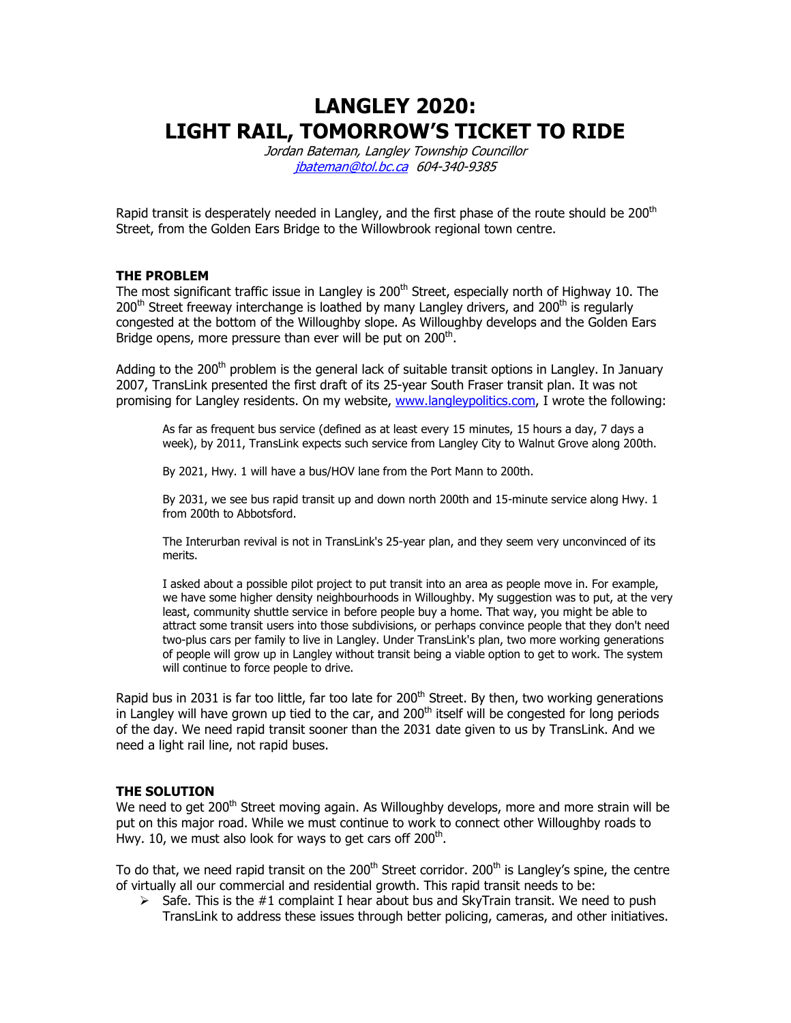LANGLEY 2020: LIGHT RAIL, TOMORROW'S TICKET TO RIDE

> Jordan Bateman, Langley Township Councillor jbateman@tol.bc.ca 604-340-9385

Rapid transit is desperately needed in Langley, and the first phase of the route should be  $200<sup>th</sup>$ Street, from the Golden Ears Bridge to the Willowbrook regional town centre.

### THE PROBLEM

The most significant traffic issue in Langley is 200<sup>th</sup> Street, especially north of Highway 10. The  $200<sup>th</sup>$  Street freeway interchange is loathed by many Langley drivers, and  $200<sup>th</sup>$  is regularly congested at the bottom of the Willoughby slope. As Willoughby develops and the Golden Ears Bridge opens, more pressure than ever will be put on 200 $^{\text{th}}$ .

Adding to the  $200<sup>th</sup>$  problem is the general lack of suitable transit options in Langley. In January 2007, TransLink presented the first draft of its 25-year South Fraser transit plan. It was not promising for Langley residents. On my website, www.langleypolitics.com, I wrote the following:

As far as frequent bus service (defined as at least every 15 minutes, 15 hours a day, 7 days a week), by 2011, TransLink expects such service from Langley City to Walnut Grove along 200th.

By 2021, Hwy. 1 will have a bus/HOV lane from the Port Mann to 200th.

By 2031, we see bus rapid transit up and down north 200th and 15-minute service along Hwy. 1 from 200th to Abbotsford.

The Interurban revival is not in TransLink's 25-year plan, and they seem very unconvinced of its merits.

I asked about a possible pilot project to put transit into an area as people move in. For example, we have some higher density neighbourhoods in Willoughby. My suggestion was to put, at the very least, community shuttle service in before people buy a home. That way, you might be able to attract some transit users into those subdivisions, or perhaps convince people that they don't need two-plus cars per family to live in Langley. Under TransLink's plan, two more working generations of people will grow up in Langley without transit being a viable option to get to work. The system will continue to force people to drive.

Rapid bus in 2031 is far too little, far too late for  $200<sup>th</sup>$  Street. By then, two working generations in Langley will have grown up tied to the car, and 200<sup>th</sup> itself will be congested for long periods of the day. We need rapid transit sooner than the 2031 date given to us by TransLink. And we need a light rail line, not rapid buses.

#### THE SOLUTION

We need to get 200<sup>th</sup> Street moving again. As Willoughby develops, more and more strain will be put on this major road. While we must continue to work to connect other Willoughby roads to Hwy. 10, we must also look for ways to get cars off 200 $^{\text{th}}$ .

To do that, we need rapid transit on the 200<sup>th</sup> Street corridor. 200<sup>th</sup> is Langley's spine, the centre of virtually all our commercial and residential growth. This rapid transit needs to be:

 $\triangleright$  Safe. This is the #1 complaint I hear about bus and SkyTrain transit. We need to push TransLink to address these issues through better policing, cameras, and other initiatives.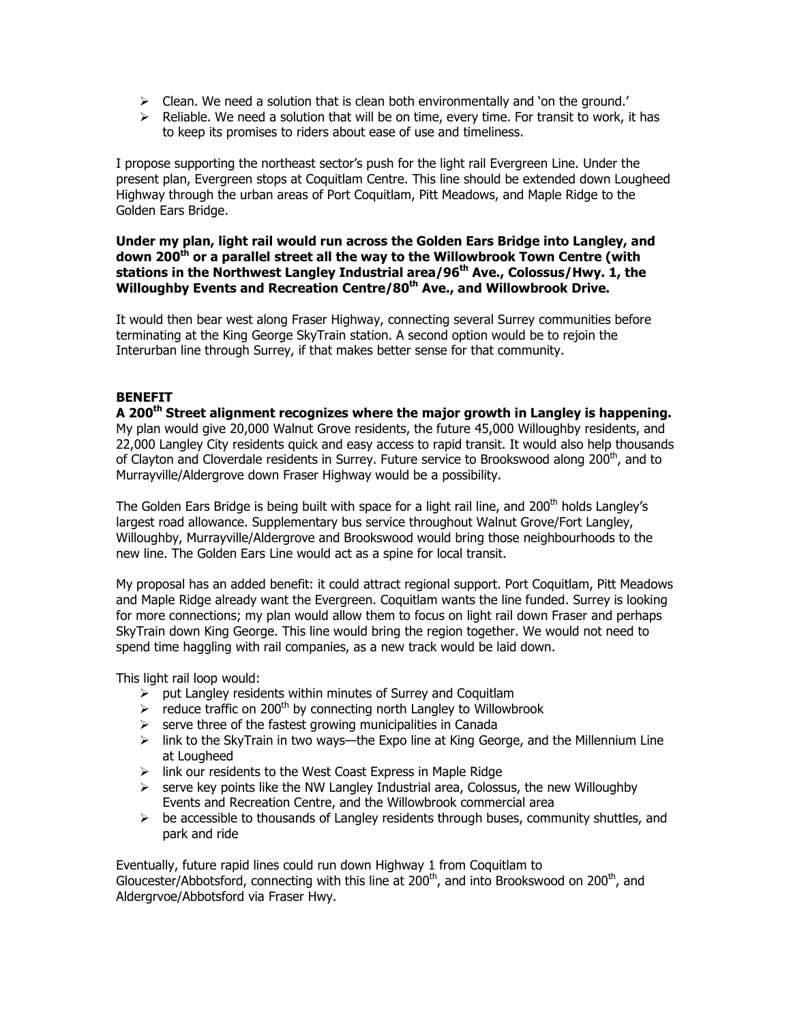- $\triangleright$  Clean. We need a solution that is clean both environmentally and 'on the ground.'
- $\triangleright$  Reliable. We need a solution that will be on time, every time. For transit to work, it has to keep its promises to riders about ease of use and timeliness.

I propose supporting the northeast sector's push for the light rail Evergreen Line. Under the present plan, Evergreen stops at Coquitlam Centre. This line should be extended down Lougheed Highway through the urban areas of Port Coquitlam, Pitt Meadows, and Maple Ridge to the Golden Ears Bridge.

# Under my plan, light rail would run across the Golden Ears Bridge into Langley, and down 200<sup>th</sup> or a parallel street all the way to the Willowbrook Town Centre (with stations in the Northwest Langley Industrial area/96<sup>th</sup> Ave., Colossus/Hwy. 1, the Willoughby Events and Recreation Centre/80<sup>th</sup> Ave., and Willowbrook Drive.

It would then bear west along Fraser Highway, connecting several Surrey communities before terminating at the King George SkyTrain station. A second option would be to rejoin the Interurban line through Surrey, if that makes better sense for that community.

# BENEFIT

A 200<sup>th</sup> Street alignment recognizes where the major growth in Langley is happening. My plan would give 20,000 Walnut Grove residents, the future 45,000 Willoughby residents, and 22,000 Langley City residents quick and easy access to rapid transit. It would also help thousands of Clayton and Cloverdale residents in Surrey. Future service to Brookswood along 200<sup>th</sup>, and to Murrayville/Aldergrove down Fraser Highway would be a possibility.

The Golden Ears Bridge is being built with space for a light rail line, and 200<sup>th</sup> holds Langley's largest road allowance. Supplementary bus service throughout Walnut Grove/Fort Langley, Willoughby, Murrayville/Aldergrove and Brookswood would bring those neighbourhoods to the new line. The Golden Ears Line would act as a spine for local transit.

My proposal has an added benefit: it could attract regional support. Port Coquitlam, Pitt Meadows and Maple Ridge already want the Evergreen. Coquitlam wants the line funded. Surrey is looking for more connections; my plan would allow them to focus on light rail down Fraser and perhaps SkyTrain down King George. This line would bring the region together. We would not need to spend time haggling with rail companies, as a new track would be laid down.

This light rail loop would:

- $\triangleright$  put Langley residents within minutes of Surrey and Coquitlam
- $\triangleright$  reduce traffic on 200<sup>th</sup> by connecting north Langley to Willowbrook
- $\triangleright$  serve three of the fastest growing municipalities in Canada
- $\triangleright$  link to the SkyTrain in two ways—the Expo line at King George, and the Millennium Line at Lougheed
- $\triangleright$  link our residents to the West Coast Express in Maple Ridge
- $\triangleright$  serve key points like the NW Langley Industrial area, Colossus, the new Willoughby Events and Recreation Centre, and the Willowbrook commercial area
- $\triangleright$  be accessible to thousands of Langley residents through buses, community shuttles, and park and ride

Eventually, future rapid lines could run down Highway 1 from Coquitlam to Gloucester/Abbotsford, connecting with this line at  $200<sup>th</sup>$ , and into Brookswood on 200<sup>th</sup>, and Aldergrvoe/Abbotsford via Fraser Hwy.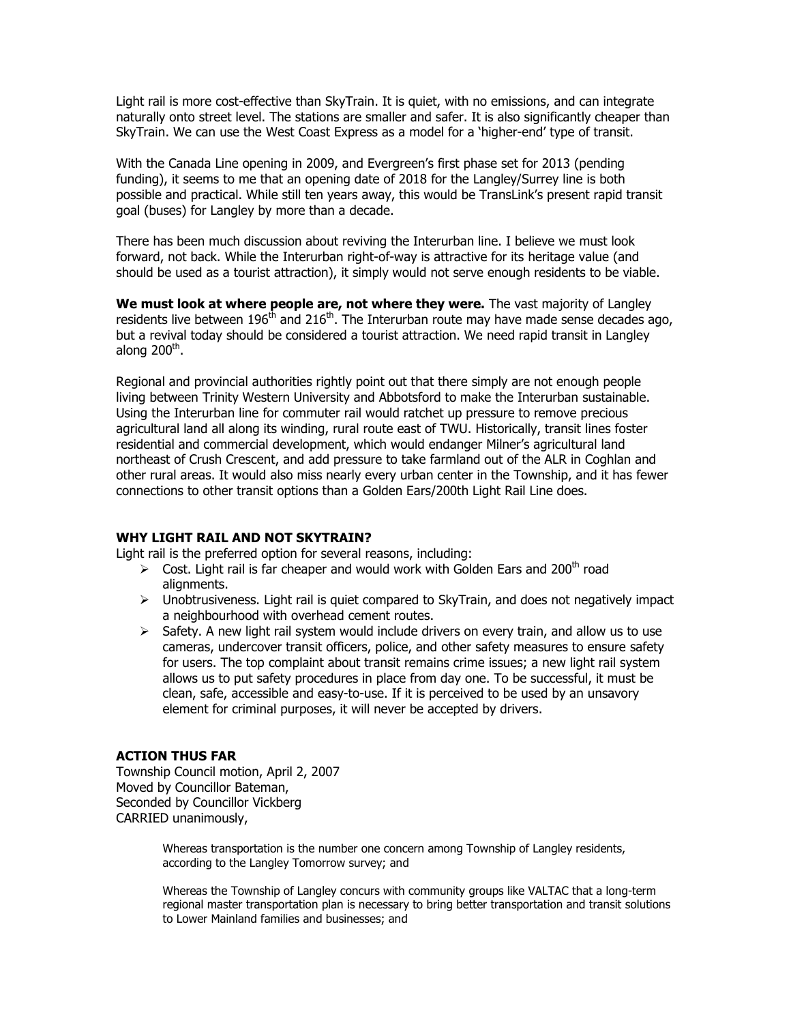Light rail is more cost-effective than SkyTrain. It is quiet, with no emissions, and can integrate naturally onto street level. The stations are smaller and safer. It is also significantly cheaper than SkyTrain. We can use the West Coast Express as a model for a 'higher-end' type of transit.

With the Canada Line opening in 2009, and Evergreen's first phase set for 2013 (pending funding), it seems to me that an opening date of 2018 for the Langley/Surrey line is both possible and practical. While still ten years away, this would be TransLink's present rapid transit goal (buses) for Langley by more than a decade.

There has been much discussion about reviving the Interurban line. I believe we must look forward, not back. While the Interurban right-of-way is attractive for its heritage value (and should be used as a tourist attraction), it simply would not serve enough residents to be viable.

We must look at where people are, not where they were. The vast majority of Langley residents live between 196<sup>th</sup> and 216<sup>th</sup>. The Interurban route may have made sense decades ago, but a revival today should be considered a tourist attraction. We need rapid transit in Langley along 200<sup>th</sup>.

Regional and provincial authorities rightly point out that there simply are not enough people living between Trinity Western University and Abbotsford to make the Interurban sustainable. Using the Interurban line for commuter rail would ratchet up pressure to remove precious agricultural land all along its winding, rural route east of TWU. Historically, transit lines foster residential and commercial development, which would endanger Milner's agricultural land northeast of Crush Crescent, and add pressure to take farmland out of the ALR in Coghlan and other rural areas. It would also miss nearly every urban center in the Township, and it has fewer connections to other transit options than a Golden Ears/200th Light Rail Line does.

### WHY LIGHT RAIL AND NOT SKYTRAIN?

Light rail is the preferred option for several reasons, including:

- $\triangleright$  Cost. Light rail is far cheaper and would work with Golden Ears and 200<sup>th</sup> road alignments.
- $\triangleright$  Unobtrusiveness. Light rail is quiet compared to SkyTrain, and does not negatively impact a neighbourhood with overhead cement routes.
- $\triangleright$  Safety. A new light rail system would include drivers on every train, and allow us to use cameras, undercover transit officers, police, and other safety measures to ensure safety for users. The top complaint about transit remains crime issues; a new light rail system allows us to put safety procedures in place from day one. To be successful, it must be clean, safe, accessible and easy-to-use. If it is perceived to be used by an unsavory element for criminal purposes, it will never be accepted by drivers.

# ACTION THUS FAR

Township Council motion, April 2, 2007 Moved by Councillor Bateman, Seconded by Councillor Vickberg CARRIED unanimously,

> Whereas transportation is the number one concern among Township of Langley residents, according to the Langley Tomorrow survey; and

Whereas the Township of Langley concurs with community groups like VALTAC that a long-term regional master transportation plan is necessary to bring better transportation and transit solutions to Lower Mainland families and businesses; and